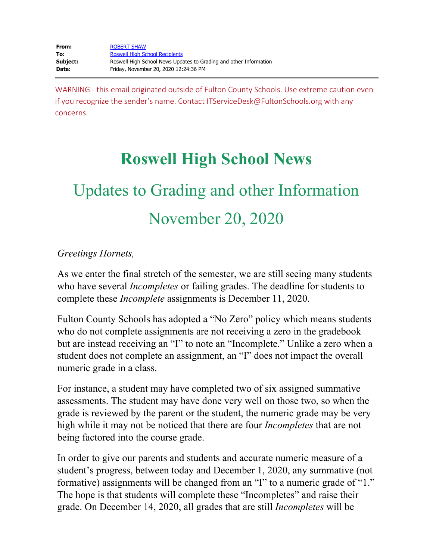WARNING - this email originated outside of Fulton County Schools. Use extreme caution even if you recognize the sender's name. Contact ITServiceDesk@FultonSchools.org with any concerns.

## **Roswell High School News**

# Updates to Grading and other Information November 20, 2020

### *Greetings Hornets,*

As we enter the final stretch of the semester, we are still seeing many students who have several *Incompletes* or failing grades. The deadline for students to complete these *Incomplete* assignments is December 11, 2020.

Fulton County Schools has adopted a "No Zero" policy which means students who do not complete assignments are not receiving a zero in the gradebook but are instead receiving an "I" to note an "Incomplete." Unlike a zero when a student does not complete an assignment, an "I" does not impact the overall numeric grade in a class.

For instance, a student may have completed two of six assigned summative assessments. The student may have done very well on those two, so when the grade is reviewed by the parent or the student, the numeric grade may be very high while it may not be noticed that there are four *Incompletes* that are not being factored into the course grade.

In order to give our parents and students and accurate numeric measure of a student's progress, between today and December 1, 2020, any summative (not formative) assignments will be changed from an "I" to a numeric grade of "1." The hope is that students will complete these "Incompletes" and raise their grade. On December 14, 2020, all grades that are still *Incompletes* will be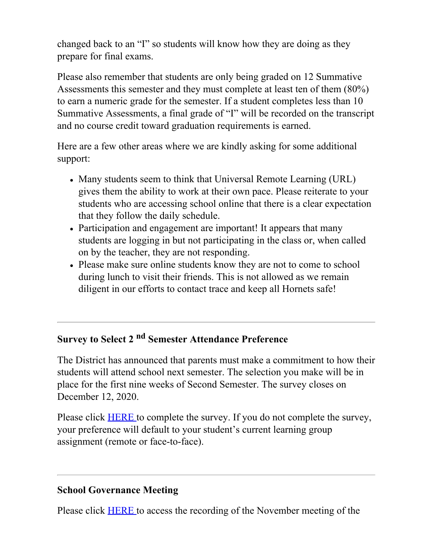changed back to an "I" so students will know how they are doing as they prepare for final exams.

Please also remember that students are only being graded on 12 Summative Assessments this semester and they must complete at least ten of them (80%) to earn a numeric grade for the semester. If a student completes less than 10 Summative Assessments, a final grade of "I" will be recorded on the transcript and no course credit toward graduation requirements is earned.

Here are a few other areas where we are kindly asking for some additional support:

- Many students seem to think that Universal Remote Learning (URL) gives them the ability to work at their own pace. Please reiterate to your students who are accessing school online that there is a clear expectation that they follow the daily schedule.
- Participation and engagement are important! It appears that many students are logging in but not participating in the class or, when called on by the teacher, they are not responding.
- Please make sure online students know they are not to come to school during lunch to visit their friends. This is not allowed as we remain diligent in our efforts to contact trace and keep all Hornets safe!

## **Survey to Select 2 nd Semester Attendance Preference**

The District has announced that parents must make a commitment to how their students will attend school next semester. The selection you make will be in place for the first nine weeks of Second Semester. The survey closes on December 12, 2020.

Please click **[HERE](https://nam11.safelinks.protection.outlook.com/?url=https%3A%2F%2Ffultonschools.az1.qualtrics.com%2Fjfe%2Fform%2FSV_1SlCTwRkD5mz8mp&data=04%7C01%7Cmurphys%40fultonschools.org%7C7a3b641aaf7146846c7f08d88d792674%7C0cdcb19881694b70ba9fda7e3ba700c2%7C1%7C0%7C637414898757347858%7CUnknown%7CTWFpbGZsb3d8eyJWIjoiMC4wLjAwMDAiLCJQIjoiV2luMzIiLCJBTiI6Ik1haWwiLCJXVCI6Mn0%3D%7C1000&sdata=fNr1whMoagGw9vvjylkMUuY%2FSRtGzUmnVoLkPKeYBbY%3D&reserved=0)** to complete the survey. If you do not complete the survey, your preference will default to your student's current learning group assignment (remote or face-to-face).

## **School Governance Meeting**

Please click **[HERE](https://nam11.safelinks.protection.outlook.com/?url=https%3A%2F%2Fyoutu.be%2FWykWrX1P4bo&data=04%7C01%7Cmurphys%40fultonschools.org%7C7a3b641aaf7146846c7f08d88d792674%7C0cdcb19881694b70ba9fda7e3ba700c2%7C1%7C0%7C637414898757357810%7CUnknown%7CTWFpbGZsb3d8eyJWIjoiMC4wLjAwMDAiLCJQIjoiV2luMzIiLCJBTiI6Ik1haWwiLCJXVCI6Mn0%3D%7C1000&sdata=5MGvLWyvkCB%2FhIRdwqIdhiBfClyPaYGfUx86X8rpETI%3D&reserved=0)** to access the recording of the November meeting of the